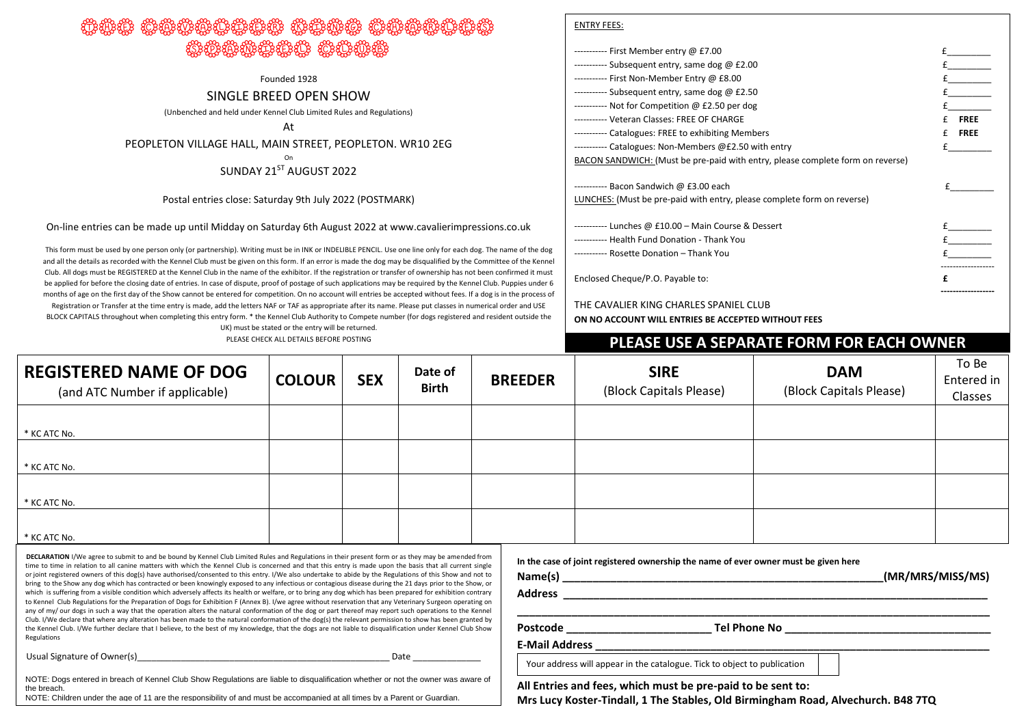# ter Cavalian Charles Charles Charles Charles Charles Charles Ch BANA ARABANG BANGAN

Founded 1928

#### SINGLE BREED OPEN SHOW

(Unbenched and held under Kennel Club Limited Rules and Regulations)

At

PEOPLETON VILLAGE HALL, MAIN STREET, PEOPLETON. WR10 2EG

On

### SUNDAY 21ST AUGUST 2022

#### Postal entries close: Saturday 9th July 2022 (POSTMARK)

On-line entries can be made up until Midday on Saturday 6th August 2022 at www.cavalierimpressions.co.uk

This form must be used by one person only (or partnership). Writing must be in INK or INDELIBLE PENCIL. Use one line only for each dog. The name of the dog ----------------------------------------------------------------------------------------------------------------------------------------- and all the details as recorded with the Kennel Club must be given on this form. If an error is made the dog may be disqualified by the Committee of the Kennel Club. All dogs must be REGISTERED at the Kennel Club in the name of the exhibitor. If the registration or transfer of ownership has not been confirmed it must be applied for before the closing date of entries. In case of dispute, proof of postage of such applications may be required by the Kennel Club. Puppies under 6 months of age on the first day of the Show cannot be entered for competition. On no account will entries be accepted without fees. If a dog is in the process of Registration or Transfer at the time entry is made, add the letters NAF or TAF as appropriate after its name. Please put classes in numerical order and USE BLOCK CAPITALS throughout when completing this entry form. \* the Kennel Club Authority to Compete number (for dogs registered and resident outside the

UK) must be stated or the entry will be returned.

| ----------- First Member entry @ £7.00                                         |   |             |
|--------------------------------------------------------------------------------|---|-------------|
| ----------- Subsequent entry, same dog @ £2.00                                 |   |             |
| ----------- First Non-Member Entry @ £8.00                                     |   |             |
| ----------- Subsequent entry, same dog @ £2.50                                 |   |             |
| ----------- Not for Competition @ £2.50 per dog                                |   |             |
| ----------- Veteran Classes: FREE OF CHARGE                                    |   | <b>FRFF</b> |
| ----------- Catalogues: FREE to exhibiting Members                             | f | <b>FREE</b> |
| ----------- Catalogues: Non-Members @£2.50 with entry                          |   |             |
| BACON SANDWICH: (Must be pre-paid with entry, please complete form on reverse) |   |             |
|                                                                                |   |             |
| LUNCHES: (Must be pre-paid with entry, please complete form on reverse)        |   |             |
| ----------- Lunches @ £10.00 - Main Course & Dessert                           |   |             |
| ----------- Health Fund Donation - Thank You                                   |   |             |
| ----------- Rosette Donation - Thank You                                       |   |             |
| Enclosed Cheque/P.O. Payable to:                                               | f |             |

THE CAVALIER KING CHARLES SPANIEL CLUB **ON NO ACCOUNT WILL ENTRIES BE ACCEPTED WITHOUT FEES**

## PLEASE CHECK ALL DETAILS BEFORE POSTING **A SEPARATE FORM FOR EACH OWNER**

| <b>REGISTERED NAME OF DOG</b><br>(and ATC Number if applicable) | <b>COLOUR</b> | <b>SEX</b> | Date of<br><b>Birth</b> | <b>BREEDER</b> | <b>SIRE</b><br>(Block Capitals Please) | <b>DAM</b><br>(Block Capitals Please) | To Be<br>Entered in<br>Classes |
|-----------------------------------------------------------------|---------------|------------|-------------------------|----------------|----------------------------------------|---------------------------------------|--------------------------------|
|                                                                 |               |            |                         |                |                                        |                                       |                                |
| * KC ATC No.                                                    |               |            |                         |                |                                        |                                       |                                |
|                                                                 |               |            |                         |                |                                        |                                       |                                |
| * KC ATC No.                                                    |               |            |                         |                |                                        |                                       |                                |
|                                                                 |               |            |                         |                |                                        |                                       |                                |
| * KC ATC No.                                                    |               |            |                         |                |                                        |                                       |                                |
|                                                                 |               |            |                         |                |                                        |                                       |                                |
| * KC ATC No.                                                    |               |            |                         |                |                                        |                                       |                                |

**DECLARATION** I/We agree to submit to and be bound by Kennel Club Limited Rules and Regulations in their present form or as they may be amended from time to time in relation to all canine matters with which the Kennel Club is concerned and that this entry is made upon the basis that all current single or joint registered owners of this dog(s) have authorised/consented to this entry. I/We also undertake to abide by the Regulations of this Show and not to bring to the Show any dog which has contracted or been knowingly exposed to any infectious or contagious disease during the 21 days prior to the Show, or which is suffering from a visible condition which adversely affects its health or welfare, or to bring any dog which has been prepared for exhibition contrary to Kennel Club Regulations for the Preparation of Dogs for Exhibition F (Annex B). I/we agree without reservation that any Veterinary Surgeon operating on any of my/ our dogs in such a way that the operation alters the natural conformation of the dog or part thereof may report such operations to the Kennel Club. I/We declare that where any alteration has been made to the natural conformation of the dog(s) the relevant permission to show has been granted by the Kennel Club. I/We further declare that I believe, to the best of my knowledge, that the dogs are not liable to disqualification under Kennel Club Show Regulations

Usual Signature of Owner(s) and the contract of the contract of the contract of the contract of the contract of

NOTE: Dogs entered in breach of Kennel Club Show Regulations are liable to disqualification whether or not the owner was aware of the breach

NOTE: Children under the age of 11 are the responsibility of and must be accompanied at all times by a Parent or Guardian.

**In the case of joint registered ownership the name of ever owner must be given here**

**Name(s) \_\_\_\_\_\_\_\_\_\_\_\_\_\_\_\_\_\_\_\_\_\_\_\_\_\_\_\_\_\_\_\_\_\_\_\_\_\_\_\_\_\_\_\_\_\_\_\_\_\_\_\_\_(MR/MRS/MISS/MS)**

**Postcode \_\_\_\_\_\_\_\_\_\_\_\_\_\_\_\_\_\_\_\_\_\_\_\_ Tel Phone No \_\_\_\_\_\_\_\_\_\_\_\_\_\_\_\_\_\_\_\_\_\_\_\_\_\_\_\_\_\_\_\_\_\_**

ENTRY FEES:

**\_\_\_\_\_\_\_\_\_\_\_\_\_\_\_\_\_\_\_\_\_\_\_\_\_\_\_\_\_\_\_\_\_\_\_\_\_\_\_\_\_\_\_\_\_\_\_\_\_\_\_\_\_\_\_\_\_\_\_\_\_\_\_\_\_\_\_\_\_\_\_\_\_\_\_\_\_\_**

**Address \_\_\_\_\_\_\_\_\_\_\_\_\_\_\_\_\_\_\_\_\_\_\_\_\_\_\_\_\_\_\_\_\_\_\_\_\_\_\_\_\_\_\_\_\_\_\_\_\_\_\_\_\_\_\_\_\_\_\_\_\_\_\_\_\_\_\_\_\_\_**

#### **E-Mail Address \_\_\_\_\_\_\_\_\_\_\_\_\_\_\_\_\_\_\_\_\_\_\_\_\_\_\_\_\_\_\_\_\_\_\_\_\_\_\_\_\_\_\_\_\_\_\_\_\_\_\_\_\_\_\_\_\_\_\_\_\_\_\_\_\_**

Your address will appear in the catalogue. Tick to object to publication

**All Entries and fees, which must be pre-paid to be sent to:**

**Mrs Lucy Koster-Tindall, 1 The Stables, Old Birmingham Road, Alvechurch. B48 7TQ**